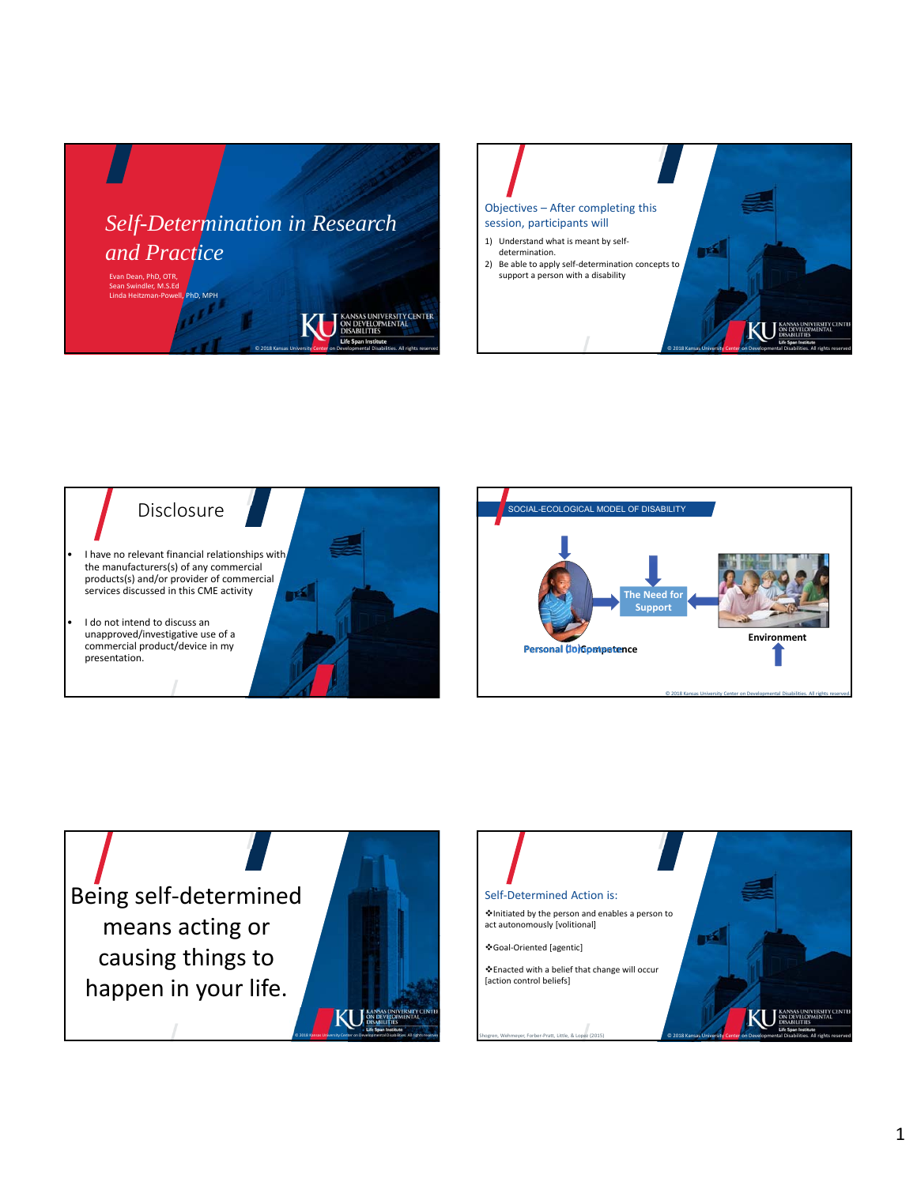









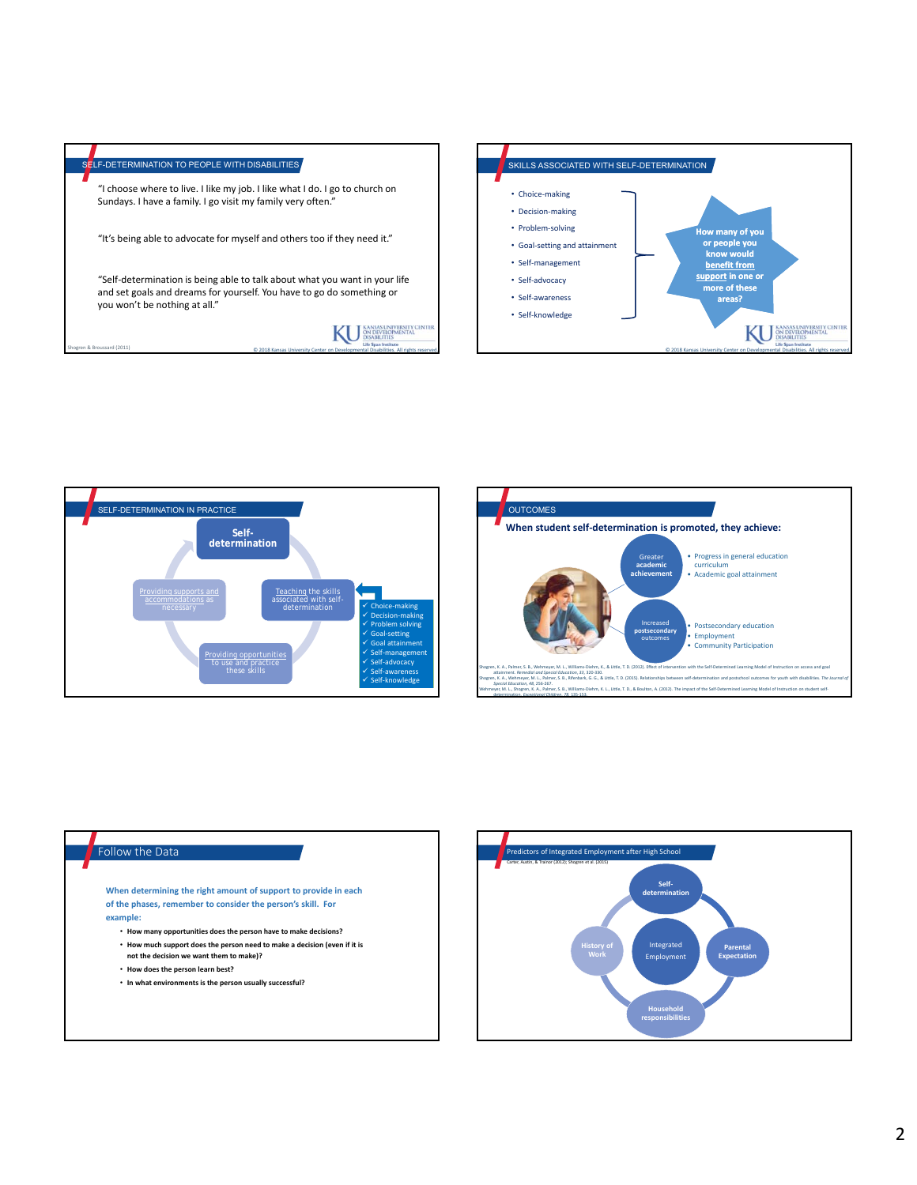